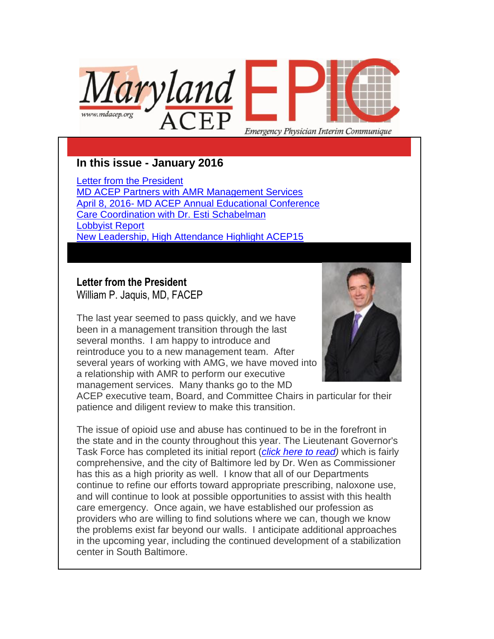

# **In this issue - January 2016**

[Letter from the President](https://ui.constantcontact.com/visualeditor/visual_editor_preview.jsp?agent.uid=1123616824456&format=html&printFrame=true#LETTER.BLOCK6) [MD ACEP Partners with AMR Management Services](https://ui.constantcontact.com/visualeditor/visual_editor_preview.jsp?agent.uid=1123616824456&format=html&printFrame=true#LETTER.BLOCK8) April 8, 2016- [MD ACEP Annual Educational Conference](https://ui.constantcontact.com/visualeditor/visual_editor_preview.jsp?agent.uid=1123616824456&format=html&printFrame=true#LETTER.BLOCK10) [Care Coordination with Dr. Esti Schabelman](https://ui.constantcontact.com/visualeditor/visual_editor_preview.jsp?agent.uid=1123616824456&format=html&printFrame=true#LETTER.BLOCK12) [Lobbyist Report](https://ui.constantcontact.com/visualeditor/visual_editor_preview.jsp?agent.uid=1123616824456&format=html&printFrame=true#LETTER.BLOCK14) [New Leadership, High Attendance Highlight ACEP15](https://ui.constantcontact.com/visualeditor/visual_editor_preview.jsp?agent.uid=1123616824456&format=html&printFrame=true#LETTER.BLOCK22)

## **Letter from the President** William P. Jaquis, MD, FACEP

The last year seemed to pass quickly, and we have been in a management transition through the last several months. I am happy to introduce and reintroduce you to a new management team. After several years of working with AMG, we have moved into a relationship with AMR to perform our executive management services. Many thanks go to the MD



ACEP executive team, Board, and Committee Chairs in particular for their patience and diligent review to make this transition.

The issue of opioid use and abuse has continued to be in the forefront in the state and in the county throughout this year. The Lieutenant Governor's Task Force has completed its initial report (*[click here to read\)](http://governor.maryland.gov/2015/12/01/maryland-heroin-and-opioid-emergency-task-force-submits-final-report-to-governor-larry-hogan/)* which is fairly comprehensive, and the city of Baltimore led by Dr. Wen as Commissioner has this as a high priority as well. I know that all of our Departments continue to refine our efforts toward appropriate prescribing, naloxone use, and will continue to look at possible opportunities to assist with this health care emergency. Once again, we have established our profession as providers who are willing to find solutions where we can, though we know the problems exist far beyond our walls. I anticipate additional approaches in the upcoming year, including the continued development of a stabilization center in South Baltimore.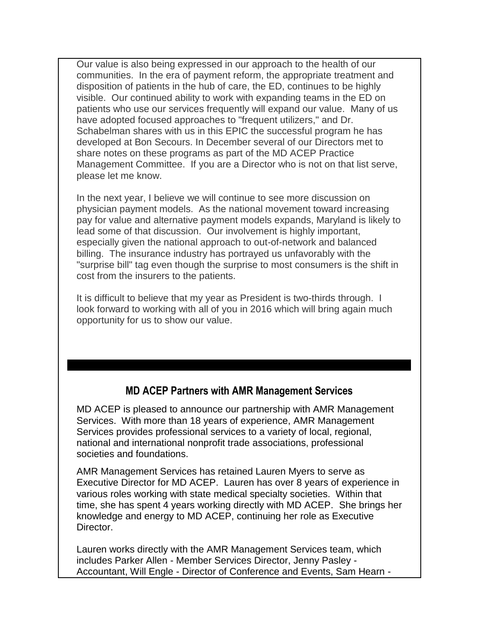Our value is also being expressed in our approach to the health of our communities. In the era of payment reform, the appropriate treatment and disposition of patients in the hub of care, the ED, continues to be highly visible. Our continued ability to work with expanding teams in the ED on patients who use our services frequently will expand our value. Many of us have adopted focused approaches to "frequent utilizers," and Dr. Schabelman shares with us in this EPIC the successful program he has developed at Bon Secours. In December several of our Directors met to share notes on these programs as part of the MD ACEP Practice Management Committee. If you are a Director who is not on that list serve, please let me know.

In the next year, I believe we will continue to see more discussion on physician payment models. As the national movement toward increasing pay for value and alternative payment models expands, Maryland is likely to lead some of that discussion. Our involvement is highly important, especially given the national approach to out-of-network and balanced billing. The insurance industry has portrayed us unfavorably with the "surprise bill" tag even though the surprise to most consumers is the shift in cost from the insurers to the patients.

It is difficult to believe that my year as President is two-thirds through. I look forward to working with all of you in 2016 which will bring again much opportunity for us to show our value.

## **MD ACEP Partners with AMR Management Services**

MD ACEP is pleased to announce our partnership with AMR Management Services. With more than 18 years of experience, AMR Management Services provides professional services to a variety of local, regional, national and international nonprofit trade associations, professional societies and foundations.

AMR Management Services has retained Lauren Myers to serve as Executive Director for MD ACEP. Lauren has over 8 years of experience in various roles working with state medical specialty societies. Within that time, she has spent 4 years working directly with MD ACEP. She brings her knowledge and energy to MD ACEP, continuing her role as Executive Director.

Lauren works directly with the AMR Management Services team, which includes Parker Allen - Member Services Director, Jenny Pasley - Accountant, Will Engle - Director of Conference and Events, Sam Hearn -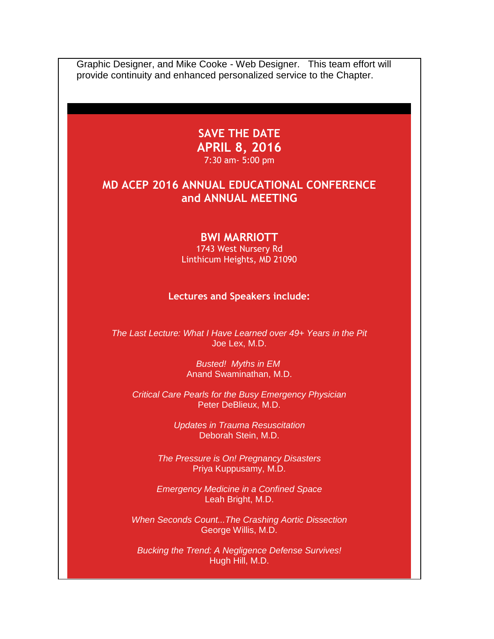Graphic Designer, and Mike Cooke - Web Designer. This team effort will provide continuity and enhanced personalized service to the Chapter.

# **SAVE THE DATE APRIL 8, 2016**

7:30 am- 5:00 pm

# **MD ACEP 2016 ANNUAL EDUCATIONAL CONFERENCE and ANNUAL MEETING**

#### **BWI MARRIOTT**

1743 West Nursery Rd Linthicum Heights, MD 21090

**Lectures and Speakers include:**

*The Last Lecture: What I Have Learned over 49+ Years in the Pit* Joe Lex, M.D.

> *Busted! Myths in EM* Anand Swaminathan, M.D.

*Critical Care Pearls for the Busy Emergency Physician* Peter DeBlieux, M.D.

> *Updates in Trauma Resuscitation* Deborah Stein, M.D.

*The Pressure is On! Pregnancy Disasters* Priya Kuppusamy, M.D.

*Emergency Medicine in a Confined Space* Leah Bright, M.D.

*When Seconds Count...The Crashing Aortic Dissection* George Willis, M.D.

*Bucking the Trend: A Negligence Defense Survives!* Hugh Hill, M.D.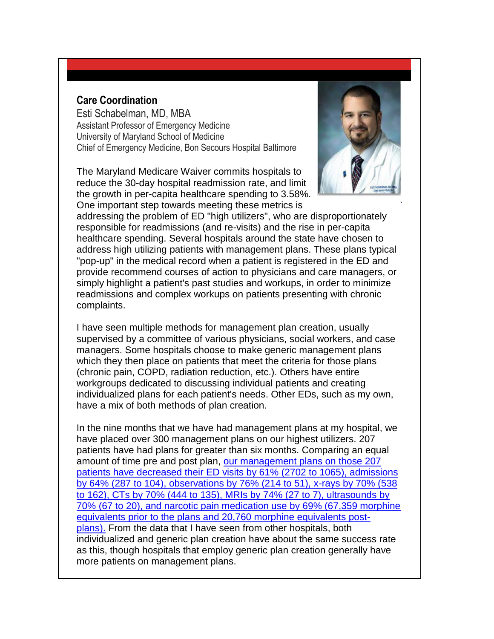### **Care Coordination**

Esti Schabelman, MD, MBA Assistant Professor of Emergency Medicine University of Maryland School of Medicine Chief of Emergency Medicine, Bon Secours Hospital Baltimore

The Maryland Medicare Waiver commits hospitals to reduce the 30-day hospital readmission rate, and limit the growth in per-capita healthcare spending to 3.58%. One important step towards meeting these metrics is



addressing the problem of ED "high utilizers", who are disproportionately responsible for readmissions (and re-visits) and the rise in per-capita healthcare spending. Several hospitals around the state have chosen to address high utilizing patients with management plans. These plans typical "pop-up" in the medical record when a patient is registered in the ED and provide recommend courses of action to physicians and care managers, or simply highlight a patient's past studies and workups, in order to minimize readmissions and complex workups on patients presenting with chronic complaints.

I have seen multiple methods for management plan creation, usually supervised by a committee of various physicians, social workers, and case managers. Some hospitals choose to make generic management plans which they then place on patients that meet the criteria for those plans (chronic pain, COPD, radiation reduction, etc.). Others have entire workgroups dedicated to discussing individual patients and creating individualized plans for each patient's needs. Other EDs, such as my own, have a mix of both methods of plan creation.

In the nine months that we have had management plans at my hospital, we have placed over 300 management plans on our highest utilizers. 207 patients have had plans for greater than six months. Comparing an equal amount of time pre and post plan, [our management plans on those 207](http://files.ctctcdn.com/2067f7f6001/cc9a5188-89a7-4e33-bb60-6b4e726dd7d7.pdf)  [patients have decreased their ED visits by 61% \(2702 to 1065\), admissions](http://files.ctctcdn.com/2067f7f6001/cc9a5188-89a7-4e33-bb60-6b4e726dd7d7.pdf)  [by 64% \(287 to 104\), observations by 76% \(214 to 51\), x-rays by 70% \(538](http://files.ctctcdn.com/2067f7f6001/cc9a5188-89a7-4e33-bb60-6b4e726dd7d7.pdf)  [to 162\), CTs by 70% \(444 to 135\), MRIs by 74% \(27 to 7\), ultrasounds by](http://files.ctctcdn.com/2067f7f6001/cc9a5188-89a7-4e33-bb60-6b4e726dd7d7.pdf)  [70% \(67 to 20\), and narcotic pain medication use by 69% \(67,359 morphine](http://files.ctctcdn.com/2067f7f6001/cc9a5188-89a7-4e33-bb60-6b4e726dd7d7.pdf)  [equivalents prior to the plans and 20,760 morphine equivalents post](http://files.ctctcdn.com/2067f7f6001/cc9a5188-89a7-4e33-bb60-6b4e726dd7d7.pdf)[plans\).](http://files.ctctcdn.com/2067f7f6001/cc9a5188-89a7-4e33-bb60-6b4e726dd7d7.pdf) From the data that I have seen from other hospitals, both individualized and generic plan creation have about the same success rate as this, though hospitals that employ generic plan creation generally have more patients on management plans.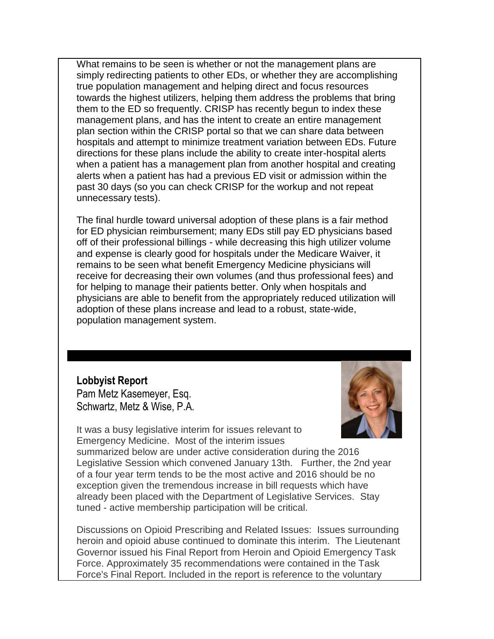What remains to be seen is whether or not the management plans are simply redirecting patients to other EDs, or whether they are accomplishing true population management and helping direct and focus resources towards the highest utilizers, helping them address the problems that bring them to the ED so frequently. CRISP has recently begun to index these management plans, and has the intent to create an entire management plan section within the CRISP portal so that we can share data between hospitals and attempt to minimize treatment variation between EDs. Future directions for these plans include the ability to create inter-hospital alerts when a patient has a management plan from another hospital and creating alerts when a patient has had a previous ED visit or admission within the past 30 days (so you can check CRISP for the workup and not repeat unnecessary tests).

The final hurdle toward universal adoption of these plans is a fair method for ED physician reimbursement; many EDs still pay ED physicians based off of their professional billings - while decreasing this high utilizer volume and expense is clearly good for hospitals under the Medicare Waiver, it remains to be seen what benefit Emergency Medicine physicians will receive for decreasing their own volumes (and thus professional fees) and for helping to manage their patients better. Only when hospitals and physicians are able to benefit from the appropriately reduced utilization will adoption of these plans increase and lead to a robust, state-wide, population management system.

**Lobbyist Report** Pam Metz Kasemeyer, Esq. Schwartz, Metz & Wise, P.A.



It was a busy legislative interim for issues relevant to Emergency Medicine. Most of the interim issues

summarized below are under active consideration during the 2016 Legislative Session which convened January 13th. Further, the 2nd year of a four year term tends to be the most active and 2016 should be no exception given the tremendous increase in bill requests which have already been placed with the Department of Legislative Services. Stay tuned - active membership participation will be critical.

Discussions on Opioid Prescribing and Related Issues: Issues surrounding heroin and opioid abuse continued to dominate this interim. The Lieutenant Governor issued his Final Report from Heroin and Opioid Emergency Task Force. Approximately 35 recommendations were contained in the Task Force's Final Report. Included in the report is reference to the voluntary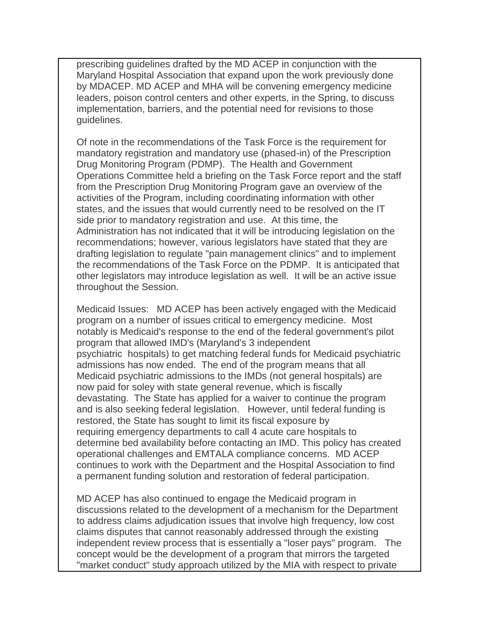prescribing guidelines drafted by the MD ACEP in conjunction with the Maryland Hospital Association that expand upon the work previously done by MDACEP. MD ACEP and MHA will be convening emergency medicine leaders, poison control centers and other experts, in the Spring, to discuss implementation, barriers, and the potential need for revisions to those guidelines.

Of note in the recommendations of the Task Force is the requirement for mandatory registration and mandatory use (phased-in) of the Prescription Drug Monitoring Program (PDMP). The Health and Government Operations Committee held a briefing on the Task Force report and the staff from the Prescription Drug Monitoring Program gave an overview of the activities of the Program, including coordinating information with other states, and the issues that would currently need to be resolved on the IT side prior to mandatory registration and use. At this time, the Administration has not indicated that it will be introducing legislation on the recommendations; however, various legislators have stated that they are drafting legislation to regulate "pain management clinics" and to implement the recommendations of the Task Force on the PDMP. It is anticipated that other legislators may introduce legislation as well. It will be an active issue throughout the Session.

Medicaid Issues: MD ACEP has been actively engaged with the Medicaid program on a number of issues critical to emergency medicine. Most notably is Medicaid's response to the end of the federal government's pilot program that allowed IMD's (Maryland's 3 independent psychiatric hospitals) to get matching federal funds for Medicaid psychiatric admissions has now ended. The end of the program means that all Medicaid psychiatric admissions to the IMDs (not general hospitals) are now paid for soley with state general revenue, which is fiscally devastating. The State has applied for a waiver to continue the program and is also seeking federal legislation. However, until federal funding is restored, the State has sought to limit its fiscal exposure by requiring emergency departments to call 4 acute care hospitals to determine bed availability before contacting an IMD. This policy has created operational challenges and EMTALA compliance concerns. MD ACEP continues to work with the Department and the Hospital Association to find a permanent funding solution and restoration of federal participation.

MD ACEP has also continued to engage the Medicaid program in discussions related to the development of a mechanism for the Department to address claims adjudication issues that involve high frequency, low cost claims disputes that cannot reasonably addressed through the existing independent review process that is essentially a "loser pays" program. The concept would be the development of a program that mirrors the targeted "market conduct" study approach utilized by the MIA with respect to private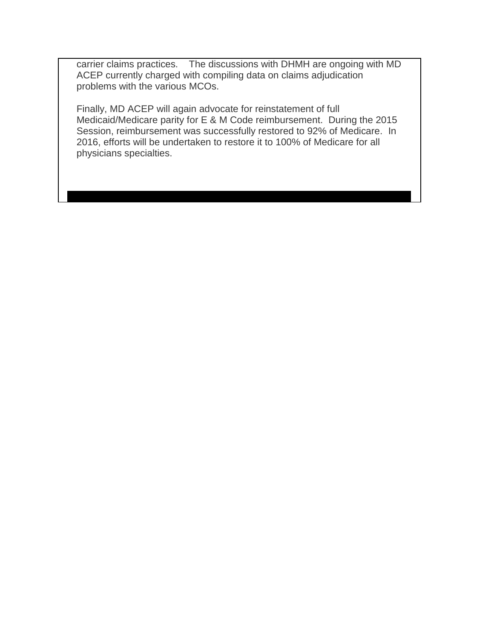carrier claims practices. The discussions with DHMH are ongoing with MD ACEP currently charged with compiling data on claims adjudication problems with the various MCOs.

Finally, MD ACEP will again advocate for reinstatement of full Medicaid/Medicare parity for E & M Code reimbursement. During the 2015 Session, reimbursement was successfully restored to 92% of Medicare. In 2016, efforts will be undertaken to restore it to 100% of Medicare for all physicians specialties.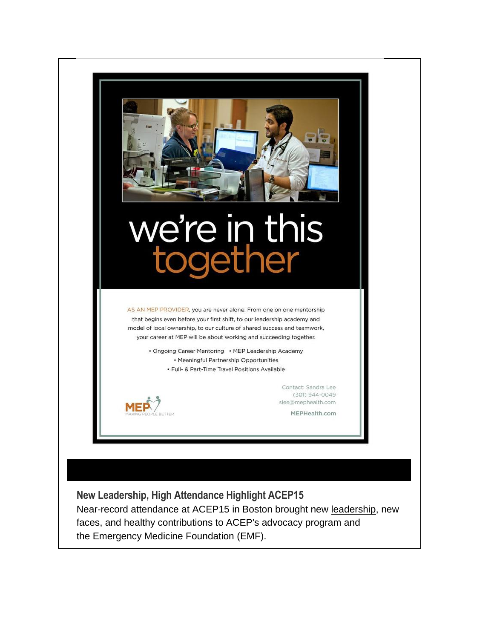

**New Leadership, High Attendance Highlight ACEP15** Near-record attendance at [ACEP15](http://www.acepnow.com/category/acep15/) in Boston brought new [leadership,](http://www.acepnow.com/article/acep-2014-leadership-advocacy-conference-highlights/) new faces, and healthy contributions to ACEP's advocacy program and the [Emergency Medicine Foundation](http://www.emergencymedicinefoundation.org/) (EMF).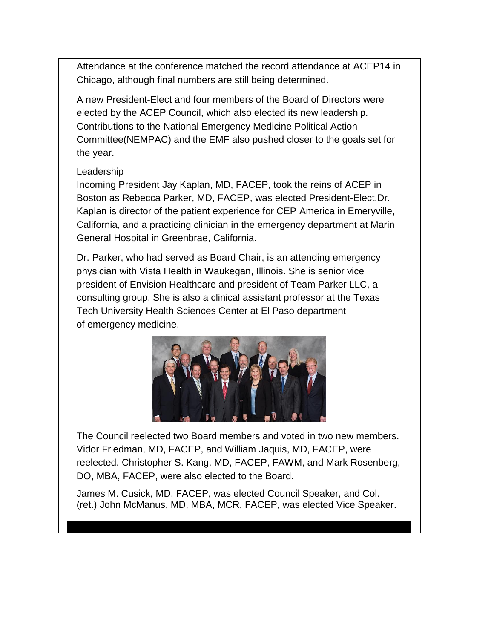Attendance at the conference matched the record attendance at [ACEP14](http://www.acepnow.com/article/acep14-attendees-pack-freakonomics-opening-session/) in Chicago, although final numbers are still being determined.

A new President-Elect and four members of the Board of Directors were elected by the [ACEP Council,](http://www.acepnow.com/article/2014-acep-council-meeting-highlights-resolutions-summary/) which also elected its new leadership. Contributions to the [National Emergency Medicine Political Action](https://www.acep.org/advocacy/)  [Committee\(](https://www.acep.org/advocacy/)NEMPAC) and the EMF also pushed closer to the goals set for the year.

#### Leadership

Incoming President [Jay Kaplan,](http://www.acepnow.com/article/acep-president-elect-dr-jay-a-kaplan-discusses-issues-facing-emergency-medicine/) MD, FACEP, took the reins of ACEP in Boston as [Rebecca Parker,](http://www.acepnow.com/article/illinois-emergency-physician-rebecca-parker-chosen-as-2015-2016-acep-president-elect/) MD, FACEP, was elected President-Elect.Dr. Kaplan is director of the patient experience for CEP America in Emeryville, California, and a practicing clinician in the [emergency department](http://www.acepnow.com/emergency-department-visits-hit-record-high-cases-requiring-urgent-treatment/) at Marin General [Hospital](http://www.acepnow.com/article/emergency-physicians-increasingly-work-simultaneously-hospitalists-nations-smallest-hospitals/) in Greenbrae, California.

Dr. Parker, who had served as Board Chair, is an attending [emergency](http://www.acepnow.com/article/much-emergency-physicians-make-national-job-market-survey/)  [physician](http://www.acepnow.com/article/much-emergency-physicians-make-national-job-market-survey/) with Vista Health in Waukegan, Illinois. She is senior vice president of Envision Healthcare and president of Team Parker LLC, a consulting group. She is also a clinical assistant professor at the Texas Tech University Health Sciences Center at El Paso department of [emergency medicine.](http://www.acepnow.com/article/top-concerns-emergency-medicine-today/)



The Council reelected two Board members and voted in two new members. Vidor Friedman, MD, FACEP, and William Jaquis, MD, FACEP, were reelected. Christopher S. Kang, MD, FACEP, FAWM, and Mark Rosenberg, DO, MBA, FACEP, were also elected to the Board.

James M. Cusick, MD, FACEP, was elected Council Speaker, and Col. (ret.) John McManus, MD, MBA, MCR, FACEP, was elected Vice Speaker.